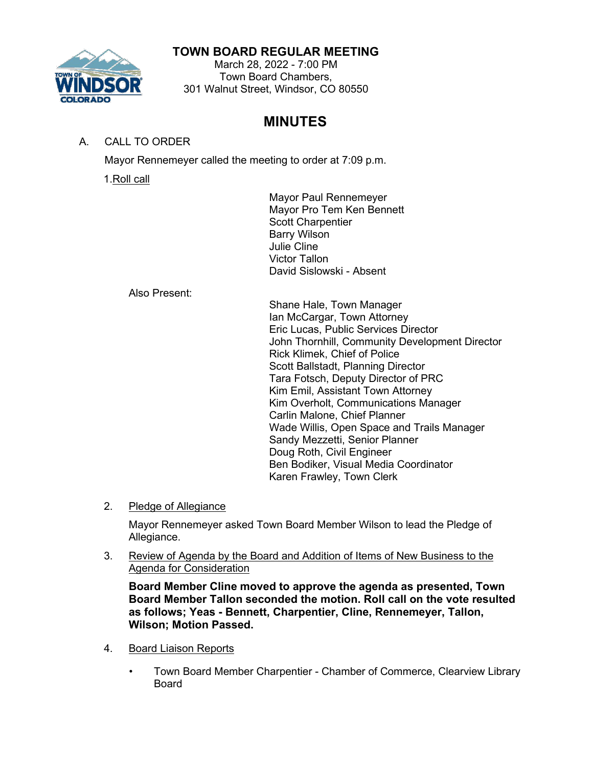# **TOWN BOARD REGULAR MEETING**

March 28, 2022 - 7:00 PM Town Board Chambers, 301 Walnut Street, Windsor, CO 80550

# **MINUTES**

## A. CALL TO ORDER

Mayor Rennemeyer called the meeting to order at 7:09 p.m.

1.Roll call

Mayor Paul Rennemeyer Mayor Pro Tem Ken Bennett Scott Charpentier Barry Wilson Julie Cline Victor Tallon David Sislowski - Absent

Also Present:

Shane Hale, Town Manager Ian McCargar, Town Attorney Eric Lucas, Public Services Director John Thornhill, Community Development Director Rick Klimek, Chief of Police Scott Ballstadt, Planning Director Tara Fotsch, Deputy Director of PRC Kim Emil, Assistant Town Attorney Kim Overholt, Communications Manager Carlin Malone, Chief Planner Wade Willis, Open Space and Trails Manager Sandy Mezzetti, Senior Planner Doug Roth, Civil Engineer Ben Bodiker, Visual Media Coordinator Karen Frawley, Town Clerk

2. Pledge of Allegiance

Mayor Rennemeyer asked Town Board Member Wilson to lead the Pledge of Allegiance.

3. Review of Agenda by the Board and Addition of Items of New Business to the Agenda for Consideration

**Board Member Cline moved to approve the agenda as presented, Town Board Member Tallon seconded the motion. Roll call on the vote resulted as follows; Yeas - Bennett, Charpentier, Cline, Rennemeyer, Tallon, Wilson; Motion Passed.**

- 4. Board Liaison Reports
	- Town Board Member Charpentier Chamber of Commerce, Clearview Library Board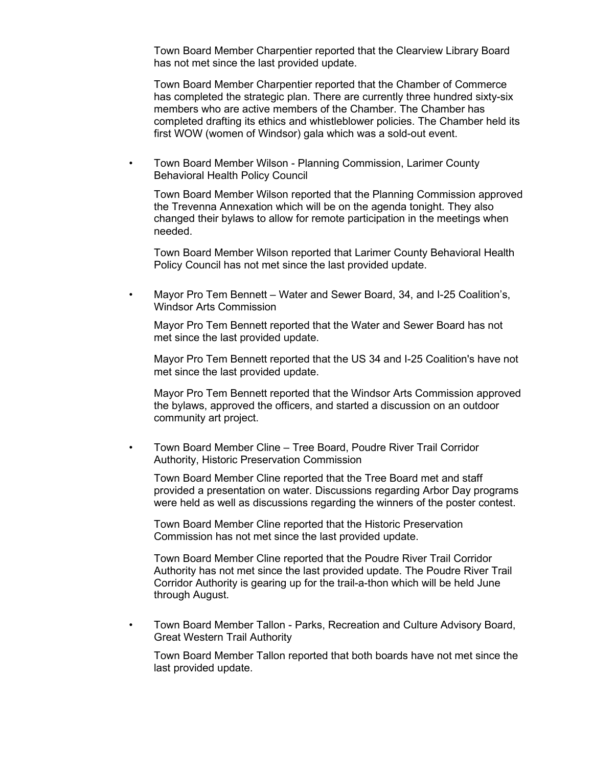Town Board Member Charpentier reported that the Clearview Library Board has not met since the last provided update.

Town Board Member Charpentier reported that the Chamber of Commerce has completed the strategic plan. There are currently three hundred sixty-six members who are active members of the Chamber. The Chamber has completed drafting its ethics and whistleblower policies. The Chamber held its first WOW (women of Windsor) gala which was a sold-out event.

• Town Board Member Wilson - Planning Commission, Larimer County Behavioral Health Policy Council

Town Board Member Wilson reported that the Planning Commission approved the Trevenna Annexation which will be on the agenda tonight. They also changed their bylaws to allow for remote participation in the meetings when needed.

Town Board Member Wilson reported that Larimer County Behavioral Health Policy Council has not met since the last provided update.

• Mayor Pro Tem Bennett – Water and Sewer Board, 34, and I-25 Coalition's, Windsor Arts Commission

Mayor Pro Tem Bennett reported that the Water and Sewer Board has not met since the last provided update.

Mayor Pro Tem Bennett reported that the US 34 and I-25 Coalition's have not met since the last provided update.

Mayor Pro Tem Bennett reported that the Windsor Arts Commission approved the bylaws, approved the officers, and started a discussion on an outdoor community art project.

• Town Board Member Cline – Tree Board, Poudre River Trail Corridor Authority, Historic Preservation Commission

Town Board Member Cline reported that the Tree Board met and staff provided a presentation on water. Discussions regarding Arbor Day programs were held as well as discussions regarding the winners of the poster contest.

Town Board Member Cline reported that the Historic Preservation Commission has not met since the last provided update.

Town Board Member Cline reported that the Poudre River Trail Corridor Authority has not met since the last provided update. The Poudre River Trail Corridor Authority is gearing up for the trail-a-thon which will be held June through August.

• Town Board Member Tallon - Parks, Recreation and Culture Advisory Board, Great Western Trail Authority

Town Board Member Tallon reported that both boards have not met since the last provided update.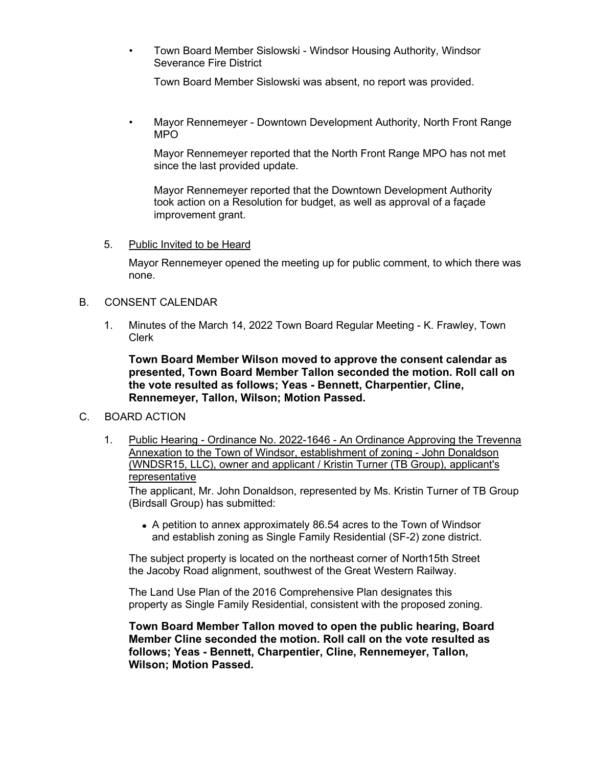• Town Board Member Sislowski - Windsor Housing Authority, Windsor Severance Fire District

Town Board Member Sislowski was absent, no report was provided.

• Mayor Rennemeyer - Downtown Development Authority, North Front Range MPO

Mayor Rennemeyer reported that the North Front Range MPO has not met since the last provided update.

Mayor Rennemeyer reported that the Downtown Development Authority took action on a Resolution for budget, as well as approval of a façade improvement grant.

#### 5. Public Invited to be Heard

Mayor Rennemeyer opened the meeting up for public comment, to which there was none.

#### B. CONSENT CALENDAR

1. Minutes of the March 14, 2022 Town Board Regular Meeting - K. Frawley, Town Clerk

**Town Board Member Wilson moved to approve the consent calendar as presented, Town Board Member Tallon seconded the motion. Roll call on the vote resulted as follows; Yeas - Bennett, Charpentier, Cline, Rennemeyer, Tallon, Wilson; Motion Passed.**

### C. BOARD ACTION

1. Public Hearing - Ordinance No. 2022-1646 - An Ordinance Approving the Trevenna Annexation to the Town of Windsor, establishment of zoning - John Donaldson (WNDSR15, LLC), owner and applicant / Kristin Turner (TB Group), applicant's representative

The applicant, Mr. John Donaldson, represented by Ms. Kristin Turner of TB Group (Birdsall Group) has submitted:

• A petition to annex approximately 86.54 acres to the Town of Windsor and establish zoning as Single Family Residential (SF-2) zone district.

The subject property is located on the northeast corner of North15th Street the Jacoby Road alignment, southwest of the Great Western Railway.

The Land Use Plan of the 2016 Comprehensive Plan designates this property as Single Family Residential, consistent with the proposed zoning.

**Town Board Member Tallon moved to open the public hearing, Board Member Cline seconded the motion. Roll call on the vote resulted as follows; Yeas - Bennett, Charpentier, Cline, Rennemeyer, Tallon, Wilson; Motion Passed.**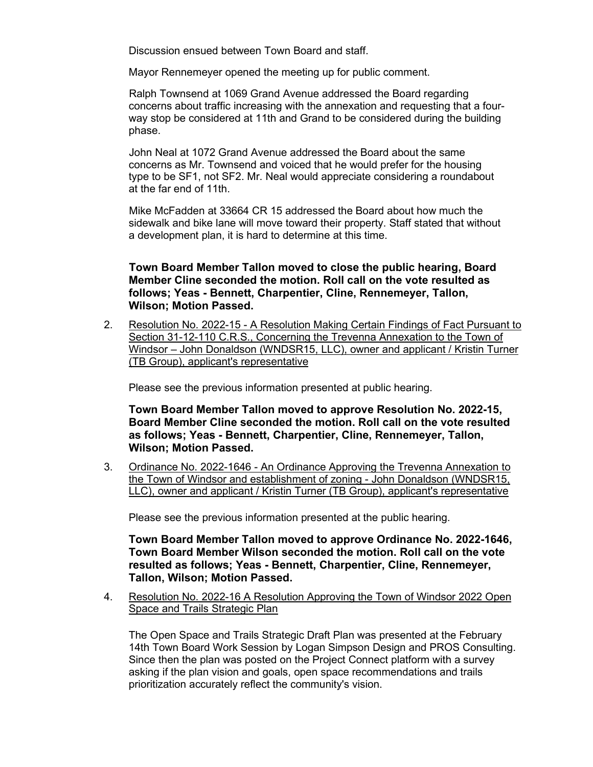Discussion ensued between Town Board and staff.

Mayor Rennemeyer opened the meeting up for public comment.

Ralph Townsend at 1069 Grand Avenue addressed the Board regarding concerns about traffic increasing with the annexation and requesting that a fourway stop be considered at 11th and Grand to be considered during the building phase.

John Neal at 1072 Grand Avenue addressed the Board about the same concerns as Mr. Townsend and voiced that he would prefer for the housing type to be SF1, not SF2. Mr. Neal would appreciate considering a roundabout at the far end of 11th.

Mike McFadden at 33664 CR 15 addressed the Board about how much the sidewalk and bike lane will move toward their property. Staff stated that without a development plan, it is hard to determine at this time.

### **Town Board Member Tallon moved to close the public hearing, Board Member Cline seconded the motion. Roll call on the vote resulted as follows; Yeas - Bennett, Charpentier, Cline, Rennemeyer, Tallon, Wilson; Motion Passed.**

2. Resolution No. 2022-15 - A Resolution Making Certain Findings of Fact Pursuant to Section 31-12-110 C.R.S., Concerning the Trevenna Annexation to the Town of Windsor – John Donaldson (WNDSR15, LLC), owner and applicant / Kristin Turner (TB Group), applicant's representative

Please see the previous information presented at public hearing.

**Town Board Member Tallon moved to approve Resolution No. 2022-15, Board Member Cline seconded the motion. Roll call on the vote resulted as follows; Yeas - Bennett, Charpentier, Cline, Rennemeyer, Tallon, Wilson; Motion Passed.**

3. Ordinance No. 2022-1646 - An Ordinance Approving the Trevenna Annexation to the Town of Windsor and establishment of zoning - John Donaldson (WNDSR15, LLC), owner and applicant / Kristin Turner (TB Group), applicant's representative

Please see the previous information presented at the public hearing.

**Town Board Member Tallon moved to approve Ordinance No. 2022-1646, Town Board Member Wilson seconded the motion. Roll call on the vote resulted as follows; Yeas - Bennett, Charpentier, Cline, Rennemeyer, Tallon, Wilson; Motion Passed.**

4. Resolution No. 2022-16 A Resolution Approving the Town of Windsor 2022 Open Space and Trails Strategic Plan

The Open Space and Trails Strategic Draft Plan was presented at the February 14th Town Board Work Session by Logan Simpson Design and PROS Consulting. Since then the plan was posted on the Project Connect platform with a survey asking if the plan vision and goals, open space recommendations and trails prioritization accurately reflect the community's vision.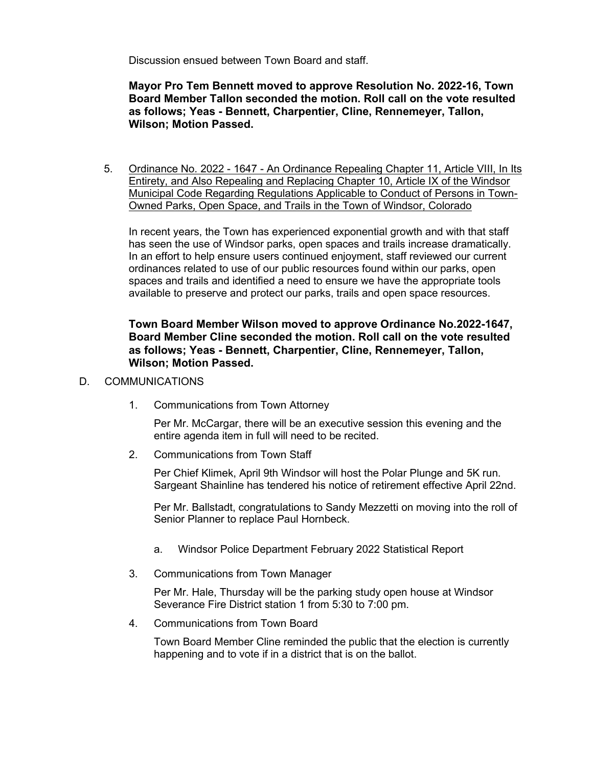Discussion ensued between Town Board and staff.

**Mayor Pro Tem Bennett moved to approve Resolution No. 2022-16, Town Board Member Tallon seconded the motion. Roll call on the vote resulted as follows; Yeas - Bennett, Charpentier, Cline, Rennemeyer, Tallon, Wilson; Motion Passed.**

5. Ordinance No. 2022 - 1647 - An Ordinance Repealing Chapter 11, Article VIII, In Its Entirety, and Also Repealing and Replacing Chapter 10, Article IX of the Windsor Municipal Code Regarding Regulations Applicable to Conduct of Persons in Town-Owned Parks, Open Space, and Trails in the Town of Windsor, Colorado

In recent years, the Town has experienced exponential growth and with that staff has seen the use of Windsor parks, open spaces and trails increase dramatically. In an effort to help ensure users continued enjoyment, staff reviewed our current ordinances related to use of our public resources found within our parks, open spaces and trails and identified a need to ensure we have the appropriate tools available to preserve and protect our parks, trails and open space resources.

### **Town Board Member Wilson moved to approve Ordinance No.2022-1647, Board Member Cline seconded the motion. Roll call on the vote resulted as follows; Yeas - Bennett, Charpentier, Cline, Rennemeyer, Tallon, Wilson; Motion Passed.**

- D. COMMUNICATIONS
	- 1. Communications from Town Attorney

Per Mr. McCargar, there will be an executive session this evening and the entire agenda item in full will need to be recited.

2. Communications from Town Staff

Per Chief Klimek, April 9th Windsor will host the Polar Plunge and 5K run. Sargeant Shainline has tendered his notice of retirement effective April 22nd.

Per Mr. Ballstadt, congratulations to Sandy Mezzetti on moving into the roll of Senior Planner to replace Paul Hornbeck.

- a. Windsor Police Department February 2022 Statistical Report
- 3. Communications from Town Manager

Per Mr. Hale, Thursday will be the parking study open house at Windsor Severance Fire District station 1 from 5:30 to 7:00 pm.

4. Communications from Town Board

Town Board Member Cline reminded the public that the election is currently happening and to vote if in a district that is on the ballot.